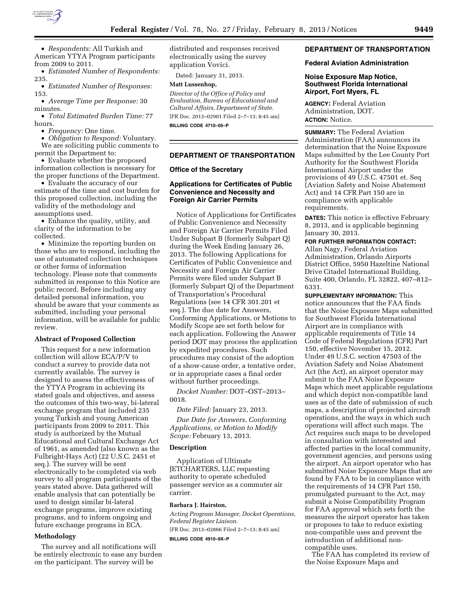

American YTYA Program participants from 2009 to 2011.

• *Estimated Number of Respondents:*  235.

• *Estimated Number of Responses:*  153.

• *Average Time per Response:* 30 minutes.

• *Total Estimated Burden Time:* 77 hours.

• *Frequency:* One time.

• *Obligation to Respond:* Voluntary. We are soliciting public comments to permit the Department to:

• Evaluate whether the proposed information collection is necessary for the proper functions of the Department.

• Evaluate the accuracy of our estimate of the time and cost burden for this proposed collection, including the validity of the methodology and assumptions used.

• Enhance the quality, utility, and clarity of the information to be collected.

• Minimize the reporting burden on those who are to respond, including the use of automated collection techniques or other forms of information technology. Please note that comments submitted in response to this Notice are public record. Before including any detailed personal information, you should be aware that your comments as submitted, including your personal information, will be available for public review.

#### **Abstract of Proposed Collection**

This request for a new information collection will allow ECA/P/V to conduct a survey to provide data not currently available. The survey is designed to assess the effectiveness of the YTYA Program in achieving its stated goals and objectives, and assess the outcomes of this two-way, bi-lateral exchange program that included 235 young Turkish and young American participants from 2009 to 2011. This study is authorized by the Mutual Educational and Cultural Exchange Act of 1961, as amended (also known as the Fulbright-Hays Act) (22 U.S.C. 2451 et seq.). The survey will be sent electronically to be completed via web survey to all program participants of the years stated above. Data gathered will enable analysis that can potentially be used to design similar bi-lateral exchange programs, improve existing programs, and to inform ongoing and future exchange programs in ECA.

### **Methodology**

The survey and all notifications will be entirely electronic to ease any burden on the participant. The survey will be

distributed and responses received electronically using the survey application Vovici.

Dated: January 31, 2013.

#### **Matt Lussenhop,**

*Director of the Office of Policy and Evaluation, Bureau of Educational and Cultural Affairs, Department of State.*  [FR Doc. 2013–02901 Filed 2–7–13; 8:45 am] **BILLING CODE 4710–05–P** 

## **DEPARTMENT OF TRANSPORTATION**

### **Office of the Secretary**

# **Applications for Certificates of Public Convenience and Necessity and Foreign Air Carrier Permits**

Notice of Applications for Certificates of Public Convenience and Necessity and Foreign Air Carrier Permits Filed Under Subpart B (formerly Subpart Q) during the Week Ending January 26, 2013. The following Applications for Certificates of Public Convenience and Necessity and Foreign Air Carrier Permits were filed under Subpart B (formerly Subpart Q) of the Department of Transportation's Procedural Regulations (see 14 CFR 301.201 et seq.). The due date for Answers, Conforming Applications, or Motions to Modify Scope are set forth below for each application. Following the Answer period DOT may process the application by expedited procedures. Such procedures may consist of the adoption of a show-cause order, a tentative order, or in appropriate cases a final order without further proceedings.

*Docket Number:* DOT–OST–2013– 0018.

*Date Filed:* January 23, 2013.

*Due Date for Answers, Conforming Applications, or Motion to Modify Scope:* February 13, 2013.

#### **Description**

Application of Ultimate JETCHARTERS, LLC requesting authority to operate scheduled passenger service as a commuter air carrier.

#### **Barbara J. Hairston,**

*Acting Program Manager, Docket Operations, Federal Register Liaison.* 

[FR Doc. 2013–02866 Filed 2–7–13; 8:45 am]

**BILLING CODE 4910–9X–P** 

## **DEPARTMENT OF TRANSPORTATION**

### **Federal Aviation Administration**

### **Noise Exposure Map Notice, Southwest Florida International Airport, Fort Myers, FL**

**AGENCY:** Federal Aviation Administration, DOT. **ACTION:** Notice.

**SUMMARY:** The Federal Aviation Administration (FAA) announces its determination that the Noise Exposure Maps submitted by the Lee County Port Authority for the Southwest Florida International Airport under the provisions of 49 U.S.C. 47501 et. Seq (Aviation Safety and Noise Abatement Act) and 14 CFR Part 150 are in compliance with applicable requirements.

**DATES:** This notice is effective February 8, 2013, and is applicable beginning January 30, 2013.

**FOR FURTHER INFORMATION CONTACT:** 

Allan Nagy, Federal Aviation Administration, Orlando Airports District Office, 5950 Hazeltine National Drive Citadel International Building, Suite 400, Orlando, FL 32822, 407–812– 6331.

**SUPPLEMENTARY INFORMATION:** This notice announces that the FAA finds that the Noise Exposure Maps submitted for Southwest Florida International Airport are in compliance with applicable requirements of Title 14 Code of Federal Regulations (CFR) Part 150, effective November 15, 2012. Under 49 U.S.C. section 47503 of the Aviation Safety and Noise Abatement Act (the Act), an airport operator may submit to the FAA Noise Exposure Maps which meet applicable regulations and which depict non-compatible land uses as of the date of submission of such maps, a description of projected aircraft operations, and the ways in which such operations will affect such maps. The Act requires such maps to be developed in consultation with interested and affected parties in the local community, government agencies, and persons using the airport. An airport operator who has submitted Noise Exposure Maps that are found by FAA to be in compliance with the requirements of 14 CFR Part 150, promulgated pursuant to the Act, may submit a Noise Compatibility Program for FAA approval which sets forth the measures the airport operator has taken or proposes to take to reduce existing non-compatible uses and prevent the introduction of additional noncompatible uses.

The FAA has completed its review of the Noise Exposure Maps and